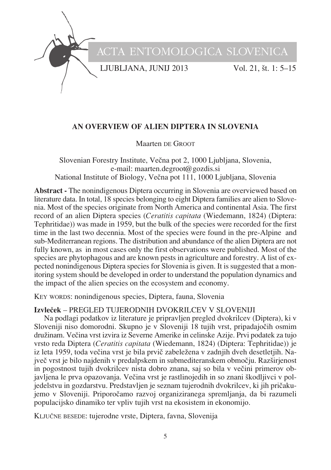

# **AN OVERVIEW OF ALIEN DIPTERA IN SLOVENIA**

Maarten DE GROOT

Slovenian Forestry Institute, Večna pot 2, 1000 Ljubljana, Slovenia, e-mail: maarten.degroot@gozdis.si National Institute of Biology, Večna pot 111, 1000 Ljubljana, Slovenia

**Abstract -** The nonindigenous Diptera occurring in Slovenia are overviewed based on literature data. In total, 18 species belonging to eight Diptera families are alien to Slovenia. Most of the species originate from North America and continental Asia. The first record of an alien Diptera species (*Ceratitis capitata* (Wiedemann, 1824) (Diptera: Tephritidae)) was made in 1959, but the bulk of the species were recorded for the first time in the last two decennia. Most of the species were found in the pre-Alpine and sub-Mediterranean regions. The distribution and abundance of the alien Diptera are not fully known, as in most cases only the first observations were published. Most of the species are phytophagous and are known pests in agriculture and forestry. A list of expected nonindigenous Diptera species for Slovenia is given. It is suggested that a monitoring system should be developed in order to understand the population dynamics and the impact of the alien species on the ecosystem and economy.

KEY WORDS: nonindigenous species, Diptera, fauna, Slovenia

# **Izvleœek** – PREGLED TUJERODNIH DVOKRILCEV V SLOVENIJI

Na podlagi podatkov iz literature je pripravljen pregled dvokrilcev (Diptera), ki v Sloveniji niso domorodni. Skupno je v Sloveniji 18 tujih vrst, pripadajočih osmim družinam. Večina vrst izvira iz Severne Amerike in celinske Azije. Prvi podatek za tujo vrsto reda Diptera (*Ceratitis capitata* (Wiedemann, 1824) (Diptera: Tephritidae)) je iz leta 1959, toda večina vrst je bila prvič zabeležena v zadnjih dveh desetletjih. Največ vrst je bilo najdenih v predalpskem in submediteranskem območju. Razširjenost in pogostnost tujih dvokrilcev nista dobro znana, saj so bila v večini primerov objavljena le prva opazovanja. Večina vrst je rastlinojedih in so znani škodljivci v poljedelstvu in gozdarstvu. Predstavljen je seznam tujerodnih dvokrilcev, ki jih priœakujemo v Sloveniji. Priporočamo razvoj organiziranega spremljanja, da bi razumeli populacijsko dinamiko ter vpliv tujih vrst na ekosistem in ekonomijo.

KLJUČNE BESEDE: tujerodne vrste, Diptera, favna, Slovenija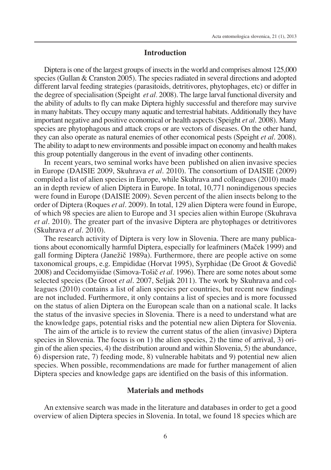#### **Introduction**

Diptera is one of the largest groups of insectsin the world and comprises almost 125,000 species (Gullan  $&$  Cranston 2005). The species radiated in several directions and adopted different larval feeding strategies (parasitoids, detritivores, phytophages, etc) or differ in the degree ofspecialisation (Speight *et al.* 2008). The large larval functional diversity and the ability of adults to fly can make Diptera highly successful and therefore may survive in many habitats. They occupy many aquatic and terrestrial habitats. Additionally they have important negative and positive economical or health aspects(Speight *et al*. 2008). Many species are phytophagous and attack crops or are vectors of diseases. On the other hand, they can also operate as natural enemies of other economical pests (Speight *et al*. 2008). The ability to adapt to new environments and possible impact on economy and health makes this group potentially dangerous in the event of invading other continents.

In recent years, two seminal works have been published on alien invasive species in Europe (DAISIE 2009, Skuhrava *et al*. 2010). The consortium of DAISIE (2009) compiled a list of alien species in Europe, while Skuhrava and colleagues (2010) made an in depth review of alien Diptera in Europe. In total, 10,771 nonindigenous species were found in Europe (DAISIE 2009). Seven percent of the alien insects belong to the order of Diptera (Roques *et al*. 2009). In total, 129 alien Diptera were found in Europe, of which 98 species are alien to Europe and 31 species alien within Europe (Skuhrava *et al*. 2010). The greater part of the invasive Diptera are phytophages or detritivores (Skuhrava *et al*. 2010).

The research activity of Diptera is very low in Slovenia. There are many publications about economically harmful Diptera, especially for leafminers (Macek 1999) and gall forming Diptera (Janežič 1989a). Furthermore, there are people active on some taxonomical groups, e.g. Empididae (Horvat 1995), Syrphidae (De Groot  $&$  Govedic 2008) and Cecidomyiidae (Simova-Tošič *et al.* 1996). There are some notes about some selected species (De Groot *et al*. 2007, Seljak 2011). The work by Skuhrava and colleagues (2010) contains a list of alien species per countries, but recent new findings are not included. Furthermore, it only contains a list of species and is more focussed on the status of alien Diptera on the European scale than on a national scale. It lacks the status of the invasive species in Slovenia. There is a need to understand what are the knowledge gaps, potential risks and the potential new alien Diptera for Slovenia.

The aim of the article is to review the current status of the alien (invasive) Diptera species in Slovenia. The focus is on 1) the alien species, 2) the time of arrival, 3) origin of the alien species, 4) the distribution around and within Slovenia, 5) the abundance, 6) dispersion rate, 7) feeding mode, 8) vulnerable habitats and 9) potential new alien species. When possible, recommendations are made for further management of alien Diptera species and knowledge gaps are identified on the basis of this information.

## **Materials and methods**

An extensive search was made in the literature and databases in order to get a good overview of alien Diptera species in Slovenia. In total, we found 18 species which are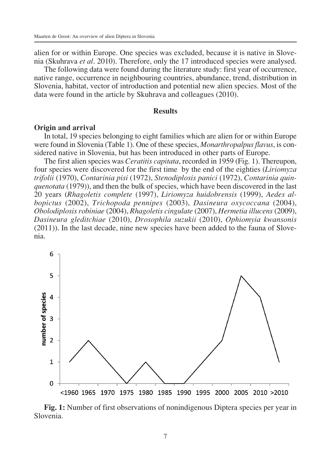alien for or within Europe. One species was excluded, because it is native in Slovenia (Skuhrava *et al*. 2010). Therefore, only the 17 introduced species were analysed.

The following data were found during the literature study: first year of occurrence, native range, occurrence in neighbouring countries, abundance, trend, distribution in Slovenia, habitat, vector of introduction and potential new alien species. Most of the data were found in the article by Skuhrava and colleagues (2010).

#### **Results**

#### **Origin and arrival**

In total, 19 species belonging to eight families which are alien for or within Europe were found in Slovenia (Table 1). One of these species, *Monarthropalpus flavus*, is considered native in Slovenia, but has been introduced in other parts of Europe.

The first alien species was *Ceratitis capitata*, recorded in 1959 (Fig. 1). Thereupon, four species were discovered for the first time by the end of the eighties (*Liriomyza trifolii* (1970), *Contarinia pisi* (1972), *Stenodiplosis panici* (1972), *Contarinia quinquenotata* (1979)), and then the bulk of species, which have been discovered in the last 20 years (*Rhagoletis complete* (1997), *Liriomyza huidobrensis* (1999), *Aedes albopictus* (2002), *Trichopoda pennipes* (2003), *Dasineura oxycoccana* (2004), *Obolodiplosis robiniae* (2004), *Rhagoletis cingulate* (2007), *Hermetia illucens* (2009), *Dasineura gleditchiae* (2010), *Drosophila suzukii* (2010), *Ophiomyia kwansonis* (2011)). In the last decade, nine new species have been added to the fauna of Slovenia.



**Fig. 1:** Number of first observations of nonindigenous Diptera species per year in Slovenia.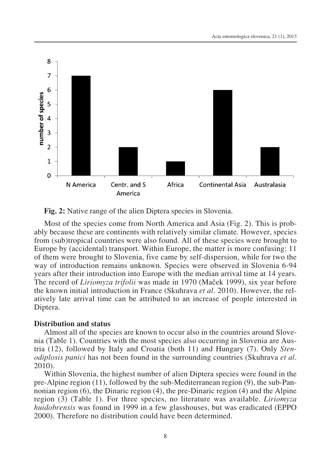

**Fig. 2:** Native range of the alien Diptera species in Slovenia.

Most of the species come from North America and Asia (Fig. 2). This is probably because these are continents with relatively similar climate. However, species from (sub)tropical countries were also found. All of these species were brought to Europe by (accidental) transport. Within Europe, the matter is more confusing: 11 of them were brought to Slovenia, five came by self-dispersion, while for two the way of introduction remains unknown. Species were observed in Slovenia 6-94 years after their introduction into Europe with the median arrival time at 14 years. The record of *Liriomyza trifolii* was made in 1970 (Maœek 1999), six year before the known initial introduction in France (Skuhrava *et al*. 2010). However, the relatively late arrival time can be attributed to an increase of people interested in Diptera.

#### **Distribution and status**

Almost all of the species are known to occur also in the countries around Slovenia (Table 1). Countries with the most species also occurring in Slovenia are Austria (12), followed by Italy and Croatia (both 11) and Hungary (7). Only *Stenodiplosis panici* has not been found in the surrounding countries (Skuhrava *et al*. 2010).

Within Slovenia, the highest number of alien Diptera species were found in the pre-Alpine region (11), followed by the sub-Mediterranean region (9), the sub-Pannonian region (6), the Dinaric region (4), the pre-Dinaric region (4) and the Alpine region (3) (Table 1). For three species, no literature was available. *Liriomyza huidobrensis* was found in 1999 in a few glasshouses, but was eradicated (EPPO 2000). Therefore no distribution could have been determined.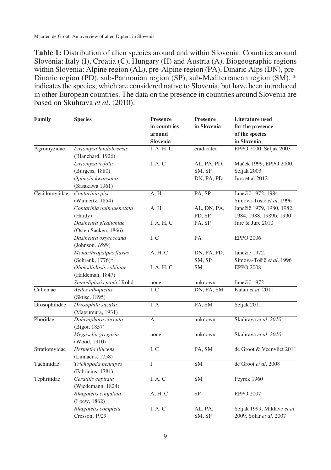**Table 1:** Distribution of alien species around and within Slovenia. Countries around Slovenia: Italy (I), Croatia (C), Hungary (H) and Austria (A). Biogeographic regions within Slovenia: Alpine region (AL), pre-Alpine region (PA), Dinaric Alps (DN), pre-Dinaric region (PD), sub-Pannonian region (SP), sub-Mediterranean region (SM). \* indicates the species, which are considered native to Slovenia, but have been introduced in other European countries. The data on the presence in countries around Slovenia are based on Skuhrava *et al*. (2010).

| Family        | <b>Species</b>             | Presence     | <b>Presence</b> | Literature used             |  |
|---------------|----------------------------|--------------|-----------------|-----------------------------|--|
|               |                            | in countries | in Slovenia     | for the presence            |  |
|               |                            | around       |                 | of the species              |  |
|               |                            | Slovenia     |                 | in Slovenia                 |  |
| Agromyzidae   | Liriomyza huidobrensis     | I, A, H, C   | eradicated      | EPPO 2000, Seljak 2003      |  |
|               | (Blanchard, 1926)          |              |                 |                             |  |
|               | Liriomyza trifolii         | I, A, C      | AL, PA, PD,     | Maček 1999, EPPO 2000,      |  |
|               | (Burgess, 1880)            |              | SM, SP          | Seljak 2003                 |  |
|               | Opimyia kwansonis          |              | DN, PA, PD      | Jurc et al 2012             |  |
|               | (Sasakawa 1961)            |              |                 |                             |  |
| Cecidomyiidae | Contarinia pisi            | A, H         | PA, SP          | Janežič 1972, 1984,         |  |
|               | (Winnertz, $1854$ )        |              |                 | Simova-Tošič et al. 1996    |  |
|               | Contarinia quinquenotata   | A, H         | AL, DN, PA,     | Janežič 1979, 1980, 1982,   |  |
|               | (Hardy)                    |              | PD, SP          | 1984, 1988, 1989b, 1990     |  |
|               | Dasineura gleditchiae      | I, A, H, C   | PA, SP          | Jure & Jure 2010            |  |
|               | (Osten Sacken, 1866)       |              |                 |                             |  |
|               | Dasineura oxycoccana       | I, C         | PA              | <b>EPPO 2006</b>            |  |
|               | (Johnson, 1899)            |              |                 |                             |  |
|               | Monarthropalpus flavus     | A, H, C      | DN, PA, PD,     | Janežič 1972,               |  |
|               | (Schrank, 1776)*           |              | SM, SP          | Simova-Tošič et al. 1996    |  |
|               | Obolodiplosis robiniae     | I, A, H, C   | SM              | <b>EPPO 2008</b>            |  |
|               | (Haldeman, 1847)           |              |                 |                             |  |
|               | Stenodiplosis panici Rohd. | none         | unknown         | Janežič 1972                |  |
| Culicidae     | Aedes albopictus           | I, C         | DN, PA, SM      | Kalan et al. 2011           |  |
|               | (Skuse, 1895)              |              |                 |                             |  |
| Drosophilidae | Drosophila suzukii         | I, A         | PA, SM          | Seljak 2011                 |  |
|               | (Matsumura, 1931)          |              |                 |                             |  |
| Phoridae      | Dohrniphora cornuta        | А            | unknown         | Skuhrava et al. 2010        |  |
|               | (Bigot, 1857)              |              |                 |                             |  |
|               | Megaselia gregaria         | none         | unknown         | Skuhrava et al. 2010        |  |
|               | (Wood, 1910)               |              |                 |                             |  |
| Stratiomyidae | Hermetia illucens          | I, C         | PA, SM          | de Groot & Veenvliet 2011   |  |
|               | (Linnaeus, 1758)           |              |                 |                             |  |
| Tachinidae    | Trichopoda pennipes        | $\mathbf I$  | <b>SM</b>       | de Groot et al. 2008        |  |
|               | (Fabricius, 1781)          |              |                 |                             |  |
| Tephritidae   | Ceratitis capitata         | I, A, C      | SM              | Peyrek 1960                 |  |
|               | (Wiedemann, 1824)          |              |                 |                             |  |
|               | Rhagoletis cingulata       | A, H, C      | SP              | <b>EPPO 2007</b>            |  |
|               | (Loew, 1862)               |              |                 |                             |  |
|               | Rhagoletis completa        | I, A, C      | AL, PA,         | Seljak 1999, Miklavc et al. |  |
|               | Cresson, 1929              |              | SM, SP          | 2009, Solar et al. 2007     |  |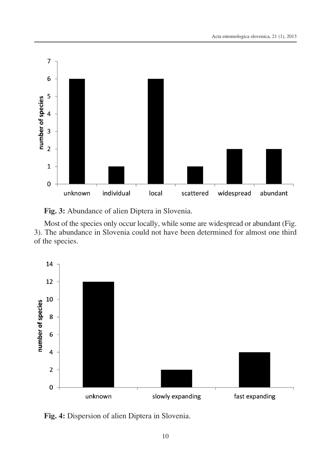

**Fig. 3:** Abundance of alien Diptera in Slovenia.

Most of the species only occur locally, while some are widespread or abundant (Fig. 3). The abundance in Slovenia could not have been determined for almost one third of the species.



**Fig. 4:** Dispersion of alien Diptera in Slovenia.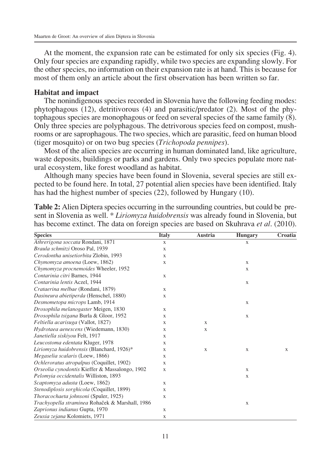At the moment, the expansion rate can be estimated for only six species (Fig. 4). Only four species are expanding rapidly, while two species are expanding slowly. For the other species, no information on their expansion rate is at hand. This is because for most of them only an article about the first observation has been written so far.

#### **Habitat and impact**

The nonindigenous species recorded in Slovenia have the following feeding modes: phytophagous (12), detritivorous (4) and parasitic/predator (2). Most of the phytophagous species are monophagous or feed on several species of the same family (8). Only three species are polyphagous. The detrivorous species feed on compost, mushrooms or are saprophagous. The two species, which are parasitic, feed on human blood (tiger mosquito) or on two bug species (*Trichopoda pennipes*).

Most of the alien species are occurring in human dominated land, like agriculture, waste deposits, buildings or parks and gardens. Only two species populate more natural ecosystem, like forest woodland as habitat.

Although many species have been found in Slovenia, several species are still expected to be found here. In total, 27 potential alien species have been identified. Italy has had the highest number of species (22), followed by Hungary (10).

| <b>Species</b>                                  | <b>Italy</b> | Austria      | <b>Hungary</b> | Croatia |
|-------------------------------------------------|--------------|--------------|----------------|---------|
| Athrerigona soccata Rondani, 1871               | $\mathbf x$  |              | X              |         |
| Braula schmitzi Oroso Pal, 1939                 | X            |              |                |         |
| Cerodontha unisetiorbita Zlobin, 1993           | X            |              |                |         |
| Chymomyza amoena (Loew, 1862)                   | X            |              | X              |         |
| Chymomyza procnemoides Wheeler, 1952            |              |              | X              |         |
| Contarinia citri Barnes, 1944                   | $\mathbf{X}$ |              |                |         |
| Contarinia lentis Aczel, 1944                   |              |              | $\mathbf X$    |         |
| Crataerina melbae (Rondani, 1879)               | $\mathbf{X}$ |              |                |         |
| Dasineura abietiperda (Henschel, 1880)          | X            |              |                |         |
| Desmometopa microps Lamb, 1914                  |              |              | X              |         |
| Drosophila melanogaster Meigen, 1830            | X            |              |                |         |
| Drosophila tsigana Burla & Gloor, 1952          | X            |              | X              |         |
| Feltiella acarisuga (Vallot, 1827)              | X            | X            |                |         |
| Hydrotaea aenescens (Wiedemann, 1830)           | X            | X            |                |         |
| Janetiella siskiyou Felt, 1917                  | X            |              |                |         |
| Leucostoma edentata Kluger, 1978                | X            |              |                |         |
| Liriomyza huidobrensis (Blanchard, 1926)*       | X            | $\mathbf{X}$ | $\mathbf{X}$   | X       |
| Megaselia scalaris (Loew, 1866)                 | X            |              |                |         |
| Ochleroratus atropalpus (Coquillet, 1902)       | X            |              |                |         |
| Orseolia cynodontis Kieffer & Massalongo, 1902  | $\mathbf x$  |              | $\mathbf X$    |         |
| Pelomyia occidentalis Williston, 1893           |              |              | X              |         |
| Scaptomyza adusta (Loew, 1862)                  | X            |              |                |         |
| Stenodiplosis sorghicola (Coquillet, 1899)      | X            |              |                |         |
| Thoracochaeta johnsoni (Spuler, 1925)           | $\mathbf{X}$ |              |                |         |
| Trachyopella straminea Rohaček & Marshall, 1986 |              |              | $\mathbf{X}$   |         |
| Zaprionus indianus Gupta, 1970                  | X            |              |                |         |
| Zeuxia zejana Kolomiets, 1971                   | X            |              |                |         |

**Table 2:** Alien Diptera species occurring in the surrounding countries, but could be present in Slovenia as well. \* *Liriomyza huidobrensis* was already found in Slovenia, but has become extinct. The data on foreign species are based on Skuhrava *et al*. (2010).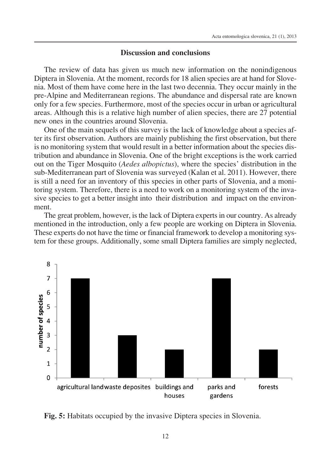# **Discussion and conclusions**

The review of data has given us much new information on the nonindigenous Diptera in Slovenia. At the moment, records for 18 alien species are at hand for Slovenia. Most of them have come here in the last two decennia. They occur mainly in the pre-Alpine and Mediterranean regions. The abundance and dispersal rate are known only for a few species. Furthermore, most of the species occur in urban or agricultural areas. Although this is a relative high number of alien species, there are 27 potential new ones in the countries around Slovenia.

One of the main sequels of this survey is the lack of knowledge about a species after its first observation. Authors are mainly publishing the first observation, but there is no monitoring system that would result in a better information about the species distribution and abundance in Slovenia. One of the bright exceptions is the work carried out on the Tiger Mosquito (*Aedes albopictus*), where the species' distribution in the sub-Mediterranean part of Slovenia was surveyed (Kalan et al. 2011). However, there is still a need for an inventory of this species in other parts of Slovenia, and a monitoring system. Therefore, there is a need to work on a monitoring system of the invasive species to get a better insight into their distribution and impact on the environment.

The great problem, however, is the lack of Diptera experts in our country. As already mentioned in the introduction, only a few people are working on Diptera in Slovenia. These experts do not have the time or financial framework to develop a monitoring system for these groups. Additionally, some small Diptera families are simply neglected,



**Fig. 5:** Habitats occupied by the invasive Diptera species in Slovenia.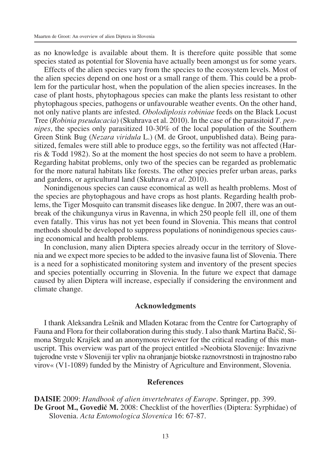as no knowledge is available about them. It is therefore quite possible that some species stated as potential for Slovenia have actually been amongst us for some years.

Effects of the alien species vary from the species to the ecosystem levels. Most of the alien species depend on one host or a small range of them. This could be a problem for the particular host, when the population of the alien species increases. In the case of plant hosts, phytophagous species can make the plants less resistant to other phytophagous species, pathogens or unfavourable weather events. On the other hand, not only native plants are infested. *Obolodiplosis robiniae* feeds on the Black Locust Tree (*Robinia pseudacacia*) (Skuhrava et al. 2010). In the case of the parasitoid *T. pennipes*, the species only parasitized 10-30% of the local population of the Southern Green Stink Bug (*Nezara viridula* L.) (M. de Groot, unpublished data). Being parasitized, females were still able to produce eggs, so the fertility was not affected (Harris & Todd 1982). So at the moment the host species do not seem to have a problem. Regarding habitat problems, only two of the species can be regarded as problematic for the more natural habitats like forests. The other species prefer urban areas, parks and gardens, or agricultural land (Skuhrava *et al*. 2010).

Nonindigenous species can cause economical as well as health problems. Most of the species are phytophagous and have crops as host plants. Regarding health problems, the Tiger Mosquito can transmit diseases like dengue. In 2007, there was an outbreak of the chikungunya virus in Ravenna, in which 250 people fell ill, one of them even fatally. This virus has not yet been found in Slovenia. This means that control methods should be developed to suppress populations of nonindigenous species causing economical and health problems.

In conclusion, many alien Diptera species already occur in the territory of Slovenia and we expect more species to be added to the invasive fauna list of Slovenia. There is a need for a sophisticated monitoring system and inventory of the present species and species potentially occurring in Slovenia. In the future we expect that damage caused by alien Diptera will increase, especially if considering the environment and climate change.

#### **Acknowledgments**

I thank Aleksandra Leønik and Mladen Kotarac from the Centre for Cartography of Fauna and Flora for their collaboration during this study. I also thank Martina Bačič, Simona Strgulc Krajšek and an anonymous reviewer for the critical reading of this manuscript. This overview was part of the project entitled »Neobiota Slovenije: Invazivne tujerodne vrste v Sloveniji ter vpliv na ohranjanje biotske raznovrstnosti in trajnostno rabo virov« (V1-1089) funded by the Ministry of Agriculture and Environment, Slovenia.

## **References**

**DAISIE** 2009: *Handbook of alien invertebrates of Europe*. Springer, pp. 399. **De** Groot M., Govedič M. 2008: Checklist of the hoverflies (Diptera: Syrphidae) of Slovenia. *Acta Entomologica Slovenica* 16: 67-87.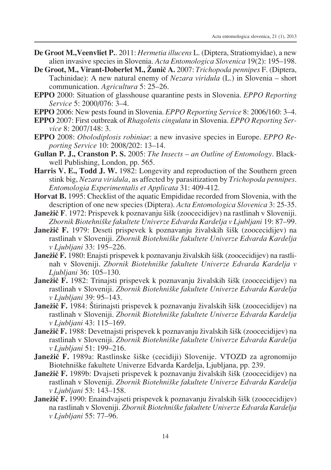- **De Groot M.,Veenvliet P.**. 2011: *Hermetia illucens* L. (Diptera, Stratiomyidae), a new alien invasive species in Slovenia. *Acta Entomologica Slovenica* 19(2): 195–198.
- **De Groot, M., Virant-Doberlet M., Æuniœ A.** 2007: *Trichopoda pennipes* F. (Diptera, Tachinidae): A new natural enemy of *Nezara viridula* (L.) in Slovenia – short communication. *Agricultura* 5: 25–26.
- **EPPO** 2000: Situation of glasshouse quarantine pests in Slovenia. *EPPO Reporting Service* 5: 2000/076: 3–4.
- **EPPO** 2006: New pests found in Slovenia. *EPPO Reporting Service* 8: 2006/160: 3–4.
- **EPPO** 2007: First outbreak of *Rhagoletis cingulata* in Slovenia. *EPPO Reporting Service* 8: 2007/148: 3.
- **EPPO** 2008: *Obolodiplosis robiniae*: a new invasive species in Europe. *EPPO Reporting Service* 10: 2008/202: 13–14.
- **Gullan P. J., Cranston P. S.** 2005: *The Insects – an Outline of Entomology*. Blackwell Publishing, London, pp. 565.
- **Harris V. E., Todd J. W.** 1982: Longevity and reproduction of the Southern green stink big, *Nezara viridula*, as affected by parasitization by *Trichopoda pennipes*. *Entomologia Experimentalis et Applicata* 31: 409-412.
- **Horvat B.** 1995: Checklist of the aquatic Empididae recorded from Slovenia, with the description of one new species (Diptera). *Acta Entomologica Slovenica* 3: 25-35.
- **Janežič** F. 1972: Prispevek k poznavanju šišk (zoocecidijev) na rastlinah v Sloveniji. *Zbornik Biotehniøke fakultete Univerze Edvarda Kardelja v Ljubljani* 19: 87–99.
- Janežič F. 1979: Deseti prispevek k poznavanju živalskih šišk (zoocecidijev) na rastlinah v Sloveniji. *Zbornik Biotehniøke fakultete Univerze Edvarda Kardelja v Ljubljani* 33: 195–226.
- **Janežič F.** 1980: Enajsti prispevek k poznavanju živalskih šišk (zoocecidijev) na rastlinah v Sloveniji. *Zbornik Biotehniøke fakultete Univerze Edvarda Kardelja v Ljubljani* 36: 105–130.
- **Janežič F.** 1982: Trinajsti prispevek k poznavanju živalskih šišk (zoocecidijev) na rastlinah v Sloveniji. *Zbornik Biotehniøke fakultete Univerze Edvarda Kardelja v Ljubljani* 39: 95–143.
- **Janežič F.** 1984: Štirinajsti prispevek k poznavanju živalskih šišk (zoocecidijev) na rastlinah v Sloveniji. *Zbornik Biotehniøke fakultete Univerze Edvarda Kardelja v Ljubljani* 43: 115–169.
- Janežič F. 1988: Devetnajsti prispevek k poznavanju živalskih šišk (zoocecidijev) na rastlinah v Sloveniji. *Zbornik Biotehniøke fakultete Univerze Edvarda Kardelja v Ljubljani* 51: 199–216.
- Janežič F. 1989a: Rastlinske šiške (cecidiji) Slovenije. VTOZD za agronomijo Biotehniøke fakultete Univerze Edvarda Kardelja, Ljubljana, pp. 239.
- Janežič F. 1989b: Dvajseti prispevek k poznavanju živalskih šišk (zoocecidijev) na rastlinah v Sloveniji. *Zbornik Biotehniøke fakultete Univerze Edvarda Kardelja v Ljubljani* 53: 143–158.
- **Janežič F.** 1990: Enaindvajseti prispevek k poznavanju živalskih šišk (zoocecidijev) na rastlinah v Sloveniji. *Zbornik Biotehniøke fakultete Univerze Edvarda Kardelja v Ljubljani* 55: 77–96.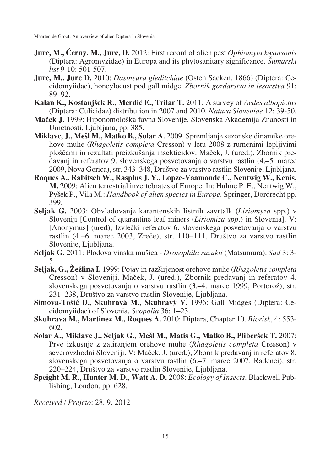- **Jurc, M., Œerny, M., Jurc, D.** 2012: First record of alien pest *Ophiomyia kwansonis* (Diptera: Agromyzidae) in Europa and its phytosanitary significance. *Øumarski list* 9-10: 501-507.
- **Jurc, M., Jurc D.** 2010: *Dasineura gleditchiae* (Osten Sacken, 1866) (Diptera: Cecidomyiidae), honeylocust pod gall midge. *Zbornik gozdarstva in lesarstva* 91: 89–92.
- **Kalan K., Kostanjøek R., Merdiå E., Trilar T.** 2011: A survey of *Aedes albopictus* (Diptera: Culicidae) distribution in 2007 and 2010. *Natura Sloveniae* 12: 39-50.
- **Maœek J.** 1999: Hiponomoloøka favna Slovenije. Slovenska Akademija Znanosti in Umetnosti, Ljubljana, pp. 385.
- **Miklavc, J., Meøl M., Matko B., Solar A.** 2009. Spremljanje sezonske dinamike orehove muhe (*Rhagoletis completa* Cresson) v letu 2008 z rumenimi lepljivimi ploščami in rezultati preizkušanja insekticidov. Maček, J. (ured.), Zbornik predavanj in referatov 9. slovenskega posvetovanja o varstvu rastlin (4.–5. marec 2009, Nova Gorica), str. 343–348, Druøtvo za varstvo rastlin Slovenije, Ljubljana.
- **Roques A., Rabitsch W., Rasplus J. Y., Lopze-Vaamonde C., Nentwig W., Kenis, M.** 2009: Alien terrestrial invertebrates of Europe. In: Hulme P. E., Nentwig W., Pyøek P., Vila M.: *Handbook of alien species in Europe*. Springer, Dordrecht pp. 399.
- **Seljak G.** 2003: Obvladovanje karantenskih listnih zavrtalk (*Liriomyza* spp.) v Sloveniji [Control of quarantine leaf miners (*Liriomiza spp.*) in Slovenia]. V: [Anonymus] (ured), Izvlečki referatov 6. slovenskega posvetovanja o varstvu rastlin (4.–6. marec 2003, Zreče), str. 110–111, Društvo za varstvo rastlin Slovenije, Ljubljana.
- **Seljak G.** 2011: Plodova vinska muøica *Drosophila suzukii* (Matsumura). *Sad* 3: 3- 5.
- **Seljak, G., Æeælina I.** 1999: Pojav in razøirjenost orehove muhe (*Rhagoletis completa* Cresson) v Sloveniji. Maček, J. (ured.), Zbornik predavanj in referatov 4. slovenskega posvetovanja o varstvu rastlin (3.–4. marec 1999, Portorož), str. 231–238, Društvo za varstvo rastlin Slovenije, Ljubljana.
- **Simova-Toøiå D., Skuhravá M., Skuhravý V.** 1996: Gall Midges (Diptera: Cecidomyiidae) of Slovenia. *Scopolia* 36: 1–23.
- **Skuhrava M., Martinez M., Roques A.** 2010: Diptera, Chapter 10. *Biorisk*, 4: 553- 602.
- **Solar A., Miklavc J., Seljak G., Meøl M., Matis G., Matko B., Pliberøek T.** 2007: Prve izkuønje z zatiranjem orehove muhe (*Rhagoletis completa* Cresson) v severovzhodni Sloveniji. V: Maček, J. (ured.), Zbornik predavanj in referatov 8. slovenskega posvetovanja o varstvu rastlin (6.–7. marec 2007, Radenci), str. 220–224, Društvo za varstvo rastlin Slovenije, Ljubljana.
- **Speight M. R., Hunter M. D., Watt A. D.** 2008: *Ecology of Insects*. Blackwell Publishing, London, pp. 628.

*Received / Prejeto*: 28. 9. 2012